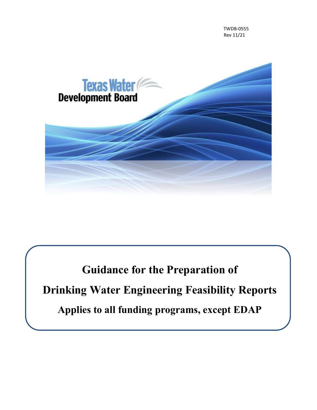TWDB-0555 Rev 11/21



**Guidance for the Preparation of Drinking Water Engineering Feasibility Reports Applies to all funding programs, except EDAP**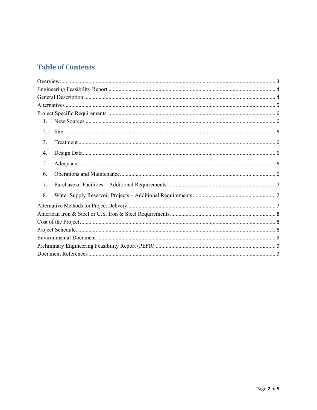### **Table of Contents**

| 1. |  |  |  |  |  |
|----|--|--|--|--|--|
| 2. |  |  |  |  |  |
| 3. |  |  |  |  |  |
| 4. |  |  |  |  |  |
| 5. |  |  |  |  |  |
| 6. |  |  |  |  |  |
| 7. |  |  |  |  |  |
| 8. |  |  |  |  |  |
|    |  |  |  |  |  |
|    |  |  |  |  |  |
|    |  |  |  |  |  |
|    |  |  |  |  |  |
|    |  |  |  |  |  |
|    |  |  |  |  |  |
|    |  |  |  |  |  |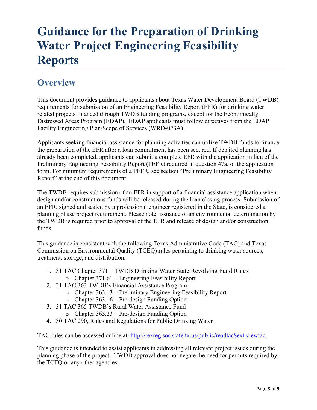# **Guidance for the Preparation of Drinking Water Project Engineering Feasibility Reports**

# <span id="page-2-0"></span>**Overview**

This document provides guidance to applicants about Texas Water Development Board (TWDB) requirements for submission of an Engineering Feasibility Report (EFR) for drinking water related projects financed through TWDB funding programs, except for the Economically Distressed Areas Program (EDAP). EDAP applicants must follow directives from the EDAP Facility Engineering Plan/Scope of Services (WRD-023A).

Applicants seeking financial assistance for planning activities can utilize TWDB funds to finance the preparation of the EFR after a loan commitment has been secured. If detailed planning has already been completed, applicants can submit a complete EFR with the application in lieu of the Preliminary Engineering Feasibility Report (PEFR) required in question 47a. of the application form. For minimum requirements of a PEFR, see section "Preliminary Engineering Feasibility Report" at the end of this document.

The TWDB requires submission of an EFR in support of a financial assistance application when design and/or constructions funds will be released during the loan closing process. Submission of an EFR, signed and sealed by a professional engineer registered in the State, is considered a planning phase project requirement. Please note, issuance of an environmental determination by the TWDB is required prior to approval of the EFR and release of design and/or construction funds.

This guidance is consistent with the following Texas Administrative Code (TAC) and Texas Commission on Environmental Quality (TCEQ) rules pertaining to drinking water sources, treatment, storage, and distribution.

- 1. 31 TAC Chapter 371 TWDB Drinking Water State Revolving Fund Rules
	- o Chapter 371.61 Engineering Feasibility Report
- 2. 31 TAC 363 TWDB's Financial Assistance Program
	- o Chapter 363.13 Preliminary Engineering Feasibility Report
	- o Chapter 363.16 Pre-design Funding Option
- 3. 31 TAC 365 TWDB's Rural Water Assistance Fund
	- o Chapter 365.23 Pre-design Funding Option
- 4. 30 TAC 290, Rules and Regulations for Public Drinking Water

TAC rules can be accessed online at: [http://texreg.sos.state.tx.us/public/readtac\\$ext.viewtac](http://texreg.sos.state.tx.us/public/readtac$ext.viewtac)

This guidance is intended to assist applicants in addressing all relevant project issues during the planning phase of the project. TWDB approval does not negate the need for permits required by the TCEQ or any other agencies.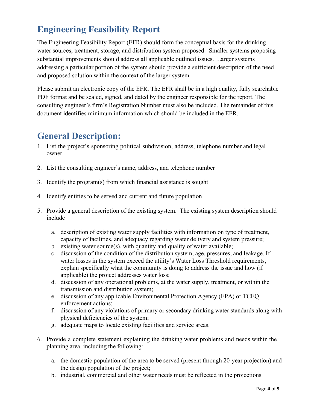# <span id="page-3-0"></span>**Engineering Feasibility Report**

The Engineering Feasibility Report (EFR) should form the conceptual basis for the drinking water sources, treatment, storage, and distribution system proposed. Smaller systems proposing substantial improvements should address all applicable outlined issues. Larger systems addressing a particular portion of the system should provide a sufficient description of the need and proposed solution within the context of the larger system.

Please submit an electronic copy of the EFR. The EFR shall be in a high quality, fully searchable PDF format and be sealed, signed, and dated by the engineer responsible for the report. The consulting engineer's firm's Registration Number must also be included. The remainder of this document identifies minimum information which should be included in the EFR.

## <span id="page-3-1"></span>**General Description:**

- 1. List the project's sponsoring political subdivision, address, telephone number and legal owner
- 2. List the consulting engineer's name, address, and telephone number
- 3. Identify the program(s) from which financial assistance is sought
- 4. Identify entities to be served and current and future population
- 5. Provide a general description of the existing system. The existing system description should include
	- a. description of existing water supply facilities with information on type of treatment, capacity of facilities, and adequacy regarding water delivery and system pressure;
	- b. existing water source(s), with quantity and quality of water available;
	- c. discussion of the condition of the distribution system, age, pressures, and leakage. If water losses in the system exceed the utility's Water Loss Threshold requirements, explain specifically what the community is doing to address the issue and how (if applicable) the project addresses water loss;
	- d. discussion of any operational problems, at the water supply, treatment, or within the transmission and distribution system;
	- e. discussion of any applicable Environmental Protection Agency (EPA) or TCEQ enforcement actions;
	- f. discussion of any violations of primary or secondary drinking water standards along with physical deficiencies of the system;
	- g. adequate maps to locate existing facilities and service areas.
- 6. Provide a complete statement explaining the drinking water problems and needs within the planning area, including the following:
	- a. the domestic population of the area to be served (present through 20-year projection) and the design population of the project;
	- b. industrial, commercial and other water needs must be reflected in the projections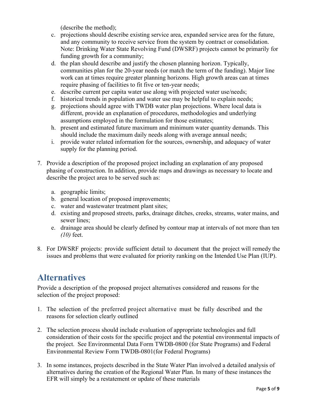(describe the method);

- c. projections should describe existing service area, expanded service area for the future, and any community to receive service from the system by contract or consolidation. Note: Drinking Water State Revolving Fund (DWSRF) projects cannot be primarily for funding growth for a community;
- d. the plan should describe and justify the chosen planning horizon. Typically, communities plan for the 20-year needs (or match the term of the funding). Major line work can at times require greater planning horizons. High growth areas can at times require phasing of facilities to fit five or ten-year needs;
- e. describe current per capita water use along with projected water use/needs;
- f. historical trends in population and water use may be helpful to explain needs;
- g. projections should agree with TWDB water plan projections. Where local data is different, provide an explanation of procedures, methodologies and underlying assumptions employed in the formulation for those estimates;
- h. present and estimated future maximum and minimum water quantity demands. This should include the maximum daily needs along with average annual needs;
- i. provide water related information for the sources, ownership, and adequacy of water supply for the planning period.
- 7. Provide a description of the proposed project including an explanation of any proposed phasing of construction. In addition, provide maps and drawings as necessary to locate and describe the project area to be served such as:
	- a. geographic limits;
	- b. general location of proposed improvements;
	- c. water and wastewater treatment plant sites;
	- d. existing and proposed streets, parks, drainage ditches, creeks, streams, water mains, and sewer lines;
	- e. drainage area should be clearly defined by contour map at intervals of not more than ten *(10)* feet.
- 8. For DWSRF projects: provide sufficient detail to document that the project will remedy the issues and problems that were evaluated for priority ranking on the Intended Use Plan (IUP).

## <span id="page-4-0"></span>**Alternatives**

Provide a description of the proposed project alternatives considered and reasons for the selection of the project proposed:

- 1. The selection of the preferred project alternative must be fully described and the reasons for selection clearly outlined
- 2. The selection process should include evaluation of appropriate technologies and full consideration of their costs for the specific project and the potential environmental impacts of the project. See Environmental Data Form TWDB-0800 (for State Programs) and Federal Environmental Review Form TWDB-0801(for Federal Programs)
- 3. In some instances, projects described in the State Water Plan involved a detailed analysis of alternatives during the creation of the Regional Water Plan. In many of these instances the EFR will simply be a restatement or update of these materials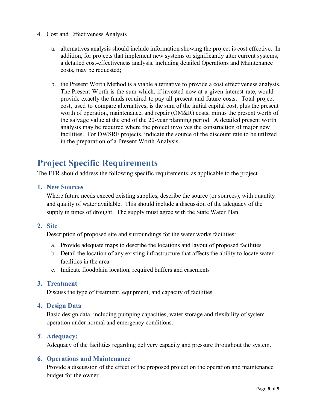- 4. Cost and Effectiveness Analysis
	- a. alternatives analysis should include information showing the project is cost effective. In addition, for projects that implement new systems or significantly alter current systems, a detailed cost-effectiveness analysis, including detailed Operations and Maintenance costs, may be requested;
	- b. the Present Worth Method is a viable alternative to provide a cost effectiveness analysis. The Present Worth is the sum which, if invested now at a given interest rate, would provide exactly the funds required to pay all present and future costs. Total project cost, used to compare alternatives, is the sum of the initial capital cost, plus the present worth of operation, maintenance, and repair (OM&R) costs, minus the present worth of the salvage value at the end of the 20-year planning period. A detailed present worth analysis may be required where the project involves the construction of major new facilities. For DWSRF projects, indicate the source of the discount rate to be utilized in the preparation of a Present Worth Analysis.

# <span id="page-5-0"></span>**Project Specific Requirements**

The EFR should address the following specific requirements, as applicable to the project

<span id="page-5-1"></span>**1. New Sources**

Where future needs exceed existing supplies, describe the source (or sources), with quantity and quality of water available. This should include a discussion of the adequacy of the supply in times of drought. The supply must agree with the State Water Plan.

<span id="page-5-2"></span>**2. Site**

Description of proposed site and surroundings for the water works facilities:

- a. Provide adequate maps to describe the locations and layout of proposed facilities
- b. Detail the location of any existing infrastructure that affects the ability to locate water facilities in the area
- c. Indicate floodplain location, required buffers and easements

#### <span id="page-5-3"></span>**3. Treatment**

Discuss the type of treatment, equipment, and capacity of facilities.

<span id="page-5-4"></span>**4. Design Data**

Basic design data, including pumping capacities, water storage and flexibility of system operation under normal and emergency conditions.

#### <span id="page-5-5"></span>*5.* **Adequacy:**

Adequacy of the facilities regarding delivery capacity and pressure throughout the system.

#### <span id="page-5-6"></span>**6. Operations and Maintenance**

Provide a discussion of the effect of the proposed project on the operation and maintenance budget for the owner.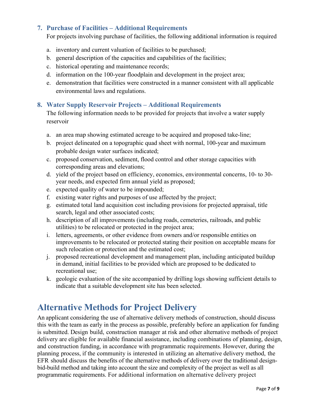#### <span id="page-6-0"></span>**7. Purchase of Facilities – Additional Requirements**

For projects involving purchase of facilities, the following additional information is required

- a. inventory and current valuation of facilities to be purchased;
- b. general description of the capacities and capabilities of the facilities;
- c. historical operating and maintenance records;
- d. information on the 100-year floodplain and development in the project area;
- e. demonstration that facilities were constructed in a manner consistent with all applicable environmental laws and regulations.

#### <span id="page-6-1"></span>**8. Water Supply Reservoir Projects – Additional Requirements**

The following information needs to be provided for projects that involve a water supply reservoir

- a. an area map showing estimated acreage to be acquired and proposed take-line;
- b. project delineated on a topographic quad sheet with normal, 100-year and maximum probable design water surfaces indicated;
- c. proposed conservation, sediment, flood control and other storage capacities with corresponding areas and elevations;
- d. yield of the project based on efficiency, economics, environmental concerns, 10- to 30 year needs, and expected firm annual yield as proposed;
- e. expected quality of water to be impounded;
- f. existing water rights and purposes of use affected by the project;
- g. estimated total land acquisition cost including provisions for projected appraisal, title search, legal and other associated costs;
- h. description of all improvements (including roads, cemeteries, railroads, and public utilities) to be relocated or protected in the project area;
- i. letters, agreements, or other evidence from owners and/or responsible entities on improvements to be relocated or protected stating their position on acceptable means for such relocation or protection and the estimated cost;
- j. proposed recreational development and management plan, including anticipated buildup in demand, initial facilities to be provided which are proposed to be dedicated to recreational use;
- k. geologic evaluation of the site accompanied by drilling logs showing sufficient details to indicate that a suitable development site has been selected.

### <span id="page-6-2"></span>**Alternative Methods for Project Delivery**

An applicant considering the use of alternative delivery methods of construction, should discuss this with the team as early in the process as possible, preferably before an application for funding is submitted. Design build, construction manager at risk and other alternative methods of project delivery are eligible for available financial assistance, including combinations of planning, design, and construction funding, in accordance with programmatic requirements. However, during the planning process, if the community is interested in utilizing an alternative delivery method, the EFR should discuss the benefits of the alternative methods of delivery over the traditional designbid-build method and taking into account the size and complexity of the project as well as all programmatic requirements. For additional information on alternative delivery project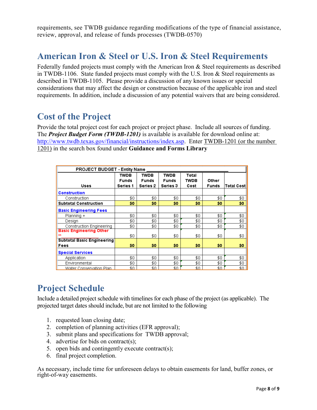requirements, see TWDB guidance regarding modifications of the type of financial assistance, review, approval, and release of funds processes (TWDB-0570)

### <span id="page-7-0"></span>**American Iron & Steel or U.S. Iron & Steel Requirements**

Federally funded projects must comply with the American Iron & Steel requirements as described in TWDB-1106. State funded projects must comply with the U.S. Iron & Steel requirements as described in TWDB-1105. Please provide a discussion of any known issues or special considerations that may affect the design or construction because of the applicable iron and steel requirements. In addition, include a discussion of any potential waivers that are being considered.

### <span id="page-7-1"></span>**Cost of the Project**

Provide the total project cost for each project or project phase. Include all sources of funding. The *Project Budget Form (TWDB-1201)* is available is available for download online at: [http://www.twdb.texas.gov/financial/instructions/index.asp.](http://www.twdb.texas.gov/financial/instructions/index.asp) Enter TWDB-1201 (or the number 1201) in the search box found under **Guidance and Forms Library**

| <b>PROJECT BUDGET - Entity Name</b>           |                                                |                                         |                                                |                       |                       |                   |  |  |
|-----------------------------------------------|------------------------------------------------|-----------------------------------------|------------------------------------------------|-----------------------|-----------------------|-------------------|--|--|
| <b>Uses</b>                                   | <b>TWDB</b><br><b>Funds</b><br><b>Series 1</b> | <b>TWDB</b><br><b>Funds</b><br>Series 2 | <b>TWDB</b><br><b>Funds</b><br><b>Series 3</b> | Total<br>TWDB<br>Cost | Other<br><b>Funds</b> | <b>Total Cost</b> |  |  |
| <b>Construction</b>                           |                                                |                                         |                                                |                       |                       |                   |  |  |
| Construction                                  | \$0                                            | \$0                                     | \$0                                            | \$0                   | \$0                   | \$0               |  |  |
| <b>Subtotal Construction</b>                  | \$0                                            | \$0                                     | \$0                                            | \$0                   | \$0                   | \$0               |  |  |
| <b>Basic Engineering Fees</b>                 |                                                |                                         |                                                |                       |                       |                   |  |  |
| Planning +                                    | \$0                                            | \$0                                     | \$0                                            | \$0                   | \$0                   | \$0               |  |  |
| Design                                        | \$0                                            | \$0                                     | \$0                                            | \$0                   | \$0                   | \$0               |  |  |
| <b>Construction Engineering</b>               | \$0                                            | \$0                                     | \$0                                            | \$0                   | \$0                   | \$0               |  |  |
| <b>Basic Engineering Other</b><br><b>etch</b> | \$0                                            | \$0                                     | \$0                                            | \$0                   | \$0                   | \$0               |  |  |
| <b>Subtotal Basic Engineering</b>             |                                                |                                         |                                                |                       |                       |                   |  |  |
| Fees                                          | \$0                                            | \$0                                     | \$0                                            | \$0                   | \$0                   | \$0               |  |  |
| <b>Special Services</b>                       |                                                |                                         |                                                |                       |                       |                   |  |  |
| Application                                   | \$0                                            | \$0                                     | \$0                                            | \$0                   | \$0                   | \$0               |  |  |
| Environmental                                 | \$0                                            | \$0                                     | \$0                                            | \$0                   | \$0                   | \$0               |  |  |
| Water Conservation Plan                       | \$0                                            | \$0                                     | \$0                                            | \$0                   | \$0                   | \$0.              |  |  |

## <span id="page-7-2"></span>**Project Schedule**

Include a detailed project schedule with timelines for each phase of the project (as applicable). The projected target dates should include, but are not limited to the following

- 1. requested loan closing date;
- 2. completion of planning activities (EFR approval);
- 3. submit plans and specifications for TWDB approval;
- 4. advertise for bids on contract(s);
- 5. open bids and contingently execute contract(s);
- 6. final project completion.

As necessary, include time for unforeseen delays to obtain easements for land, buffer zones, or right-of-way easements.